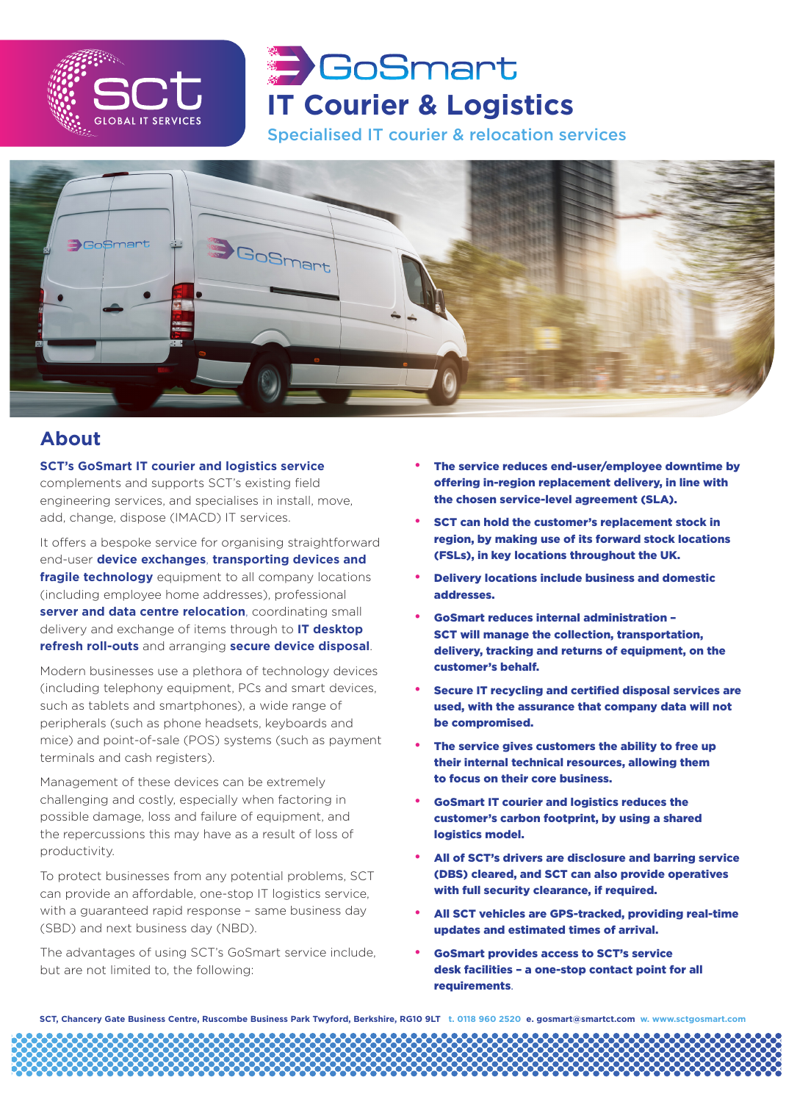

# GoSmart **IT Courier & Logistics**

Specialised IT courier & relocation services



#### **About**

**SCT's GoSmart IT courier and logistics service** complements and supports SCT's existing field engineering services, and specialises in install, move, add, change, dispose (IMACD) IT services.

It offers a bespoke service for organising straightforward end-user **device exchanges**, **transporting devices and fragile technology** equipment to all company locations (including employee home addresses), professional **server and data centre relocation**, coordinating small delivery and exchange of items through to **IT desktop refresh roll-outs** and arranging **secure device disposal**.

Modern businesses use a plethora of technology devices (including telephony equipment, PCs and smart devices, such as tablets and smartphones), a wide range of peripherals (such as phone headsets, keyboards and mice) and point-of-sale (POS) systems (such as payment terminals and cash registers).

Management of these devices can be extremely challenging and costly, especially when factoring in possible damage, loss and failure of equipment, and the repercussions this may have as a result of loss of productivity.

To protect businesses from any potential problems, SCT can provide an affordable, one-stop IT logistics service, with a guaranteed rapid response – same business day (SBD) and next business day (NBD).

The advantages of using SCT's GoSmart service include, but are not limited to, the following:

- The service reduces end-user/employee downtime by offering in-region replacement delivery, in line with the chosen service-level agreement (SLA).
- SCT can hold the customer's replacement stock in region, by making use of its forward stock locations (FSLs), in key locations throughout the UK.
- Delivery locations include business and domestic addresses.
- GoSmart reduces internal administration SCT will manage the collection, transportation, delivery, tracking and returns of equipment, on the customer's behalf.
- Secure IT recycling and certified disposal services are used, with the assurance that company data will not be compromised.
- The service gives customers the ability to free up their internal technical resources, allowing them to focus on their core business.
- GoSmart IT courier and logistics reduces the customer's carbon footprint, by using a shared logistics model.
- All of SCT's drivers are disclosure and barring service (DBS) cleared, and SCT can also provide operatives with full security clearance, if required.
- All SCT vehicles are GPS-tracked, providing real-time updates and estimated times of arrival.
- GoSmart provides access to SCT's service desk facilities – a one-stop contact point for all requirements.

**SCT, Chancery Gate Business Centre, Ruscombe Business Park Twyford, Berkshire, RG10 9LT t. 0118 960 2520 e. gosmart@smartct.com w. www.sctgosmart.com**